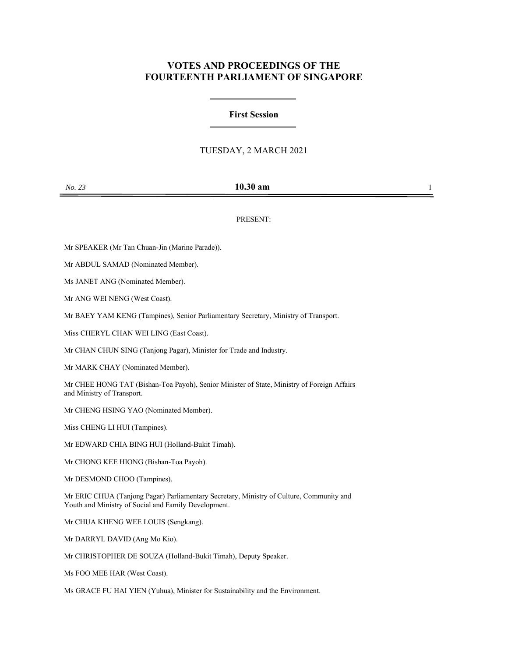# **VOTES AND PROCEEDINGS OF THE FOURTEENTH PARLIAMENT OF SINGAPORE**

#### **First Session**

## TUESDAY, 2 MARCH 2021

## *No. 23* **10.30 am** 1

#### PRESENT:

Mr SPEAKER (Mr Tan Chuan-Jin (Marine Parade)).

Mr ABDUL SAMAD (Nominated Member).

Ms JANET ANG (Nominated Member).

Mr ANG WEI NENG (West Coast).

Mr BAEY YAM KENG (Tampines), Senior Parliamentary Secretary, Ministry of Transport.

Miss CHERYL CHAN WEI LING (East Coast).

Mr CHAN CHUN SING (Tanjong Pagar), Minister for Trade and Industry.

Mr MARK CHAY (Nominated Member).

Mr CHEE HONG TAT (Bishan-Toa Payoh), Senior Minister of State, Ministry of Foreign Affairs and Ministry of Transport.

Mr CHENG HSING YAO (Nominated Member).

Miss CHENG LI HUI (Tampines).

Mr EDWARD CHIA BING HUI (Holland-Bukit Timah).

Mr CHONG KEE HIONG (Bishan-Toa Payoh).

Mr DESMOND CHOO (Tampines).

Mr ERIC CHUA (Tanjong Pagar) Parliamentary Secretary, Ministry of Culture, Community and Youth and Ministry of Social and Family Development.

Mr CHUA KHENG WEE LOUIS (Sengkang).

Mr DARRYL DAVID (Ang Mo Kio).

Mr CHRISTOPHER DE SOUZA (Holland-Bukit Timah), Deputy Speaker.

Ms FOO MEE HAR (West Coast).

Ms GRACE FU HAI YIEN (Yuhua), Minister for Sustainability and the Environment.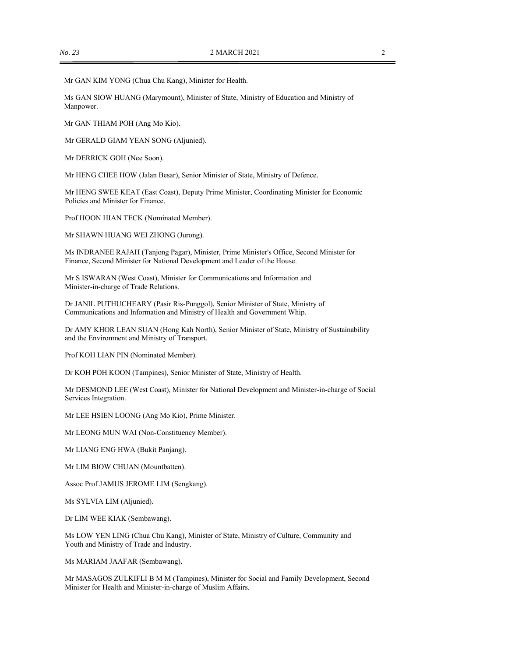Mr GAN KIM YONG (Chua Chu Kang), Minister for Health.

Ms GAN SIOW HUANG (Marymount), Minister of State, Ministry of Education and Ministry of Manpower.

Mr GAN THIAM POH (Ang Mo Kio).

Mr GERALD GIAM YEAN SONG (Aljunied).

Mr DERRICK GOH (Nee Soon).

Mr HENG CHEE HOW (Jalan Besar), Senior Minister of State, Ministry of Defence.

Mr HENG SWEE KEAT (East Coast), Deputy Prime Minister, Coordinating Minister for Economic Policies and Minister for Finance.

Prof HOON HIAN TECK (Nominated Member).

Mr SHAWN HUANG WEI ZHONG (Jurong).

Ms INDRANEE RAJAH (Tanjong Pagar), Minister, Prime Minister's Office, Second Minister for Finance, Second Minister for National Development and Leader of the House.

Mr S ISWARAN (West Coast), Minister for Communications and Information and Minister-in-charge of Trade Relations.

Dr JANIL PUTHUCHEARY (Pasir Ris-Punggol), Senior Minister of State, Ministry of Communications and Information and Ministry of Health and Government Whip.

Dr AMY KHOR LEAN SUAN (Hong Kah North), Senior Minister of State, Ministry of Sustainability and the Environment and Ministry of Transport.

Prof KOH LIAN PIN (Nominated Member).

Dr KOH POH KOON (Tampines), Senior Minister of State, Ministry of Health.

Mr DESMOND LEE (West Coast), Minister for National Development and Minister-in-charge of Social Services Integration.

Mr LEE HSIEN LOONG (Ang Mo Kio), Prime Minister.

Mr LEONG MUN WAI (Non-Constituency Member).

Mr LIANG ENG HWA (Bukit Panjang).

Mr LIM BIOW CHUAN (Mountbatten).

Assoc Prof JAMUS JEROME LIM (Sengkang).

Ms SYLVIA LIM (Aljunied).

Dr LIM WEE KIAK (Sembawang).

Ms LOW YEN LING (Chua Chu Kang), Minister of State, Ministry of Culture, Community and Youth and Ministry of Trade and Industry.

Ms MARIAM JAAFAR (Sembawang).

Mr MASAGOS ZULKIFLI B M M (Tampines), Minister for Social and Family Development, Second Minister for Health and Minister-in-charge of Muslim Affairs.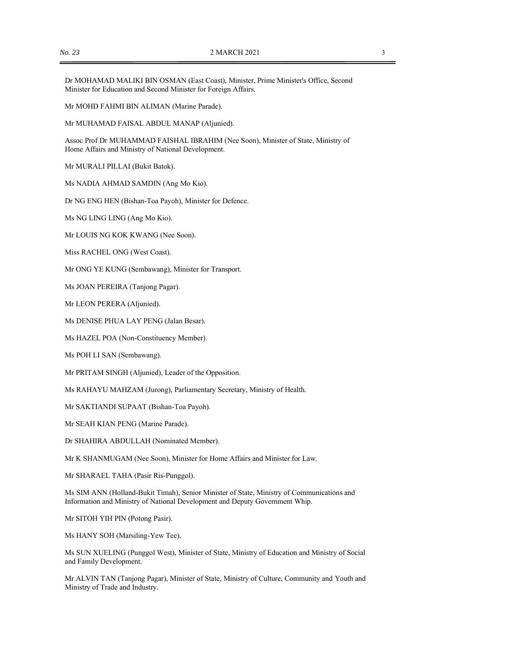Dr MOHAMAD MALIKI BIN OSMAN (East Coast), Minister, Prime Minister's Office, Second Minister for Education and Second Minister for Foreign Affairs.

Mr MOHD FAHMI BIN ALIMAN (Marine Parade).

Mr MUHAMAD FAISAL ABDUL MANAP (Aljunied).

Assoc Prof Dr MUHAMMAD FAISHAL IBRAHIM (Nee Soon), Minister of State, Ministry of Home Affairs and Ministry of National Development.

Mr MURALI PILLAI (Bukit Batok).

Ms NADIA AHMAD SAMDIN (Ang Mo Kio).

Dr NG ENG HEN (Bishan-Toa Payoh), Minister for Defence.

Ms NG LING LING (Ang Mo Kio).

Mr LOUIS NG KOK KWANG (Nee Soon).

Miss RACHEL ONG (West Coast).

Mr ONG YE KUNG (Sembawang), Minister for Transport.

Ms JOAN PEREIRA (Tanjong Pagar).

Mr LEON PERERA (Aljunied).

Ms DENISE PHUA LAY PENG (Jalan Besar).

Ms HAZEL POA (Non-Constituency Member).

Ms POH LI SAN (Sembawang).

Mr PRITAM SINGH (Aljunied), Leader of the Opposition.

Ms RAHAYU MAHZAM (Jurong), Parliamentary Secretary, Ministry of Health.

Mr SAKTIANDI SUPAAT (Bishan-Toa Payoh).

Mr SEAH KIAN PENG (Marine Parade).

Dr SHAHIRA ABDULLAH (Nominated Member).

Mr K SHANMUGAM (Nee Soon), Minister for Home Affairs and Minister for Law.

Mr SHARAEL TAHA (Pasir Ris-Punggol).

Ms SIM ANN (Holland-Bukit Timah), Senior Minister of State, Ministry of Communications and Information and Ministry of National Development and Deputy Government Whip.

Mr SITOH YIH PIN (Potong Pasir).

Ms HANY SOH (Marsiling-Yew Tee).

Ms SUN XUELING (Punggol West), Minister of State, Ministry of Education and Ministry of Social and Family Development.

Mr ALVIN TAN (Tanjong Pagar), Minister of State, Ministry of Culture, Community and Youth and Ministry of Trade and Industry.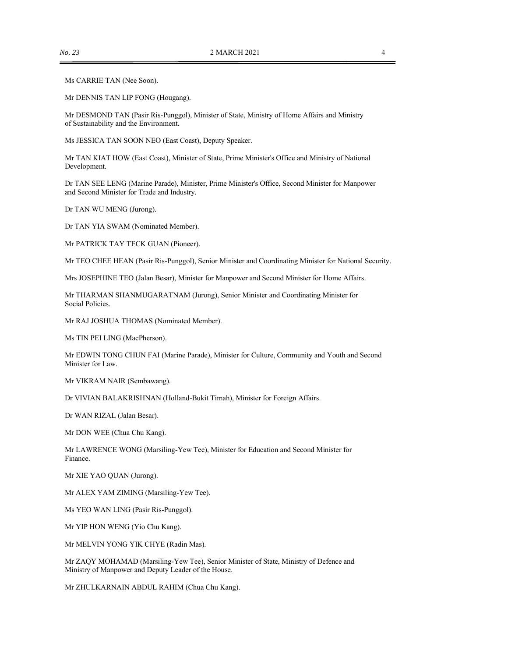Ms CARRIE TAN (Nee Soon).

Mr DENNIS TAN LIP FONG (Hougang).

Mr DESMOND TAN (Pasir Ris-Punggol), Minister of State, Ministry of Home Affairs and Ministry of Sustainability and the Environment.

Ms JESSICA TAN SOON NEO (East Coast), Deputy Speaker.

Mr TAN KIAT HOW (East Coast), Minister of State, Prime Minister's Office and Ministry of National Development.

Dr TAN SEE LENG (Marine Parade), Minister, Prime Minister's Office, Second Minister for Manpower and Second Minister for Trade and Industry.

Dr TAN WU MENG (Jurong).

Dr TAN YIA SWAM (Nominated Member).

Mr PATRICK TAY TECK GUAN (Pioneer).

Mr TEO CHEE HEAN (Pasir Ris-Punggol), Senior Minister and Coordinating Minister for National Security.

Mrs JOSEPHINE TEO (Jalan Besar), Minister for Manpower and Second Minister for Home Affairs.

Mr THARMAN SHANMUGARATNAM (Jurong), Senior Minister and Coordinating Minister for Social Policies.

Mr RAJ JOSHUA THOMAS (Nominated Member).

Ms TIN PEI LING (MacPherson).

Mr EDWIN TONG CHUN FAI (Marine Parade), Minister for Culture, Community and Youth and Second Minister for Law.

Mr VIKRAM NAIR (Sembawang).

Dr VIVIAN BALAKRISHNAN (Holland-Bukit Timah), Minister for Foreign Affairs.

Dr WAN RIZAL (Jalan Besar).

Mr DON WEE (Chua Chu Kang).

Mr LAWRENCE WONG (Marsiling-Yew Tee), Minister for Education and Second Minister for Finance.

Mr XIE YAO QUAN (Jurong).

Mr ALEX YAM ZIMING (Marsiling-Yew Tee).

Ms YEO WAN LING (Pasir Ris-Punggol).

Mr YIP HON WENG (Yio Chu Kang).

Mr MELVIN YONG YIK CHYE (Radin Mas).

Mr ZAQY MOHAMAD (Marsiling-Yew Tee), Senior Minister of State, Ministry of Defence and Ministry of Manpower and Deputy Leader of the House.

Mr ZHULKARNAIN ABDUL RAHIM (Chua Chu Kang).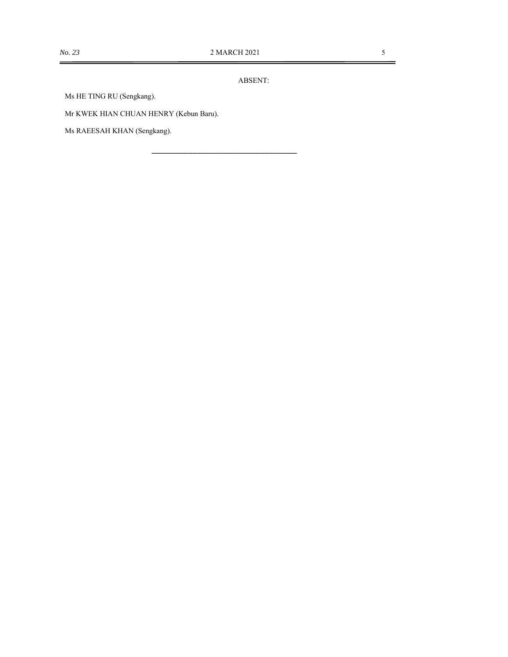$\blacksquare$ 

ABSENT:

\_\_\_\_\_\_\_\_\_\_\_\_\_\_\_\_\_\_\_\_\_\_\_\_\_\_\_\_\_\_\_\_

Ms HE TING RU (Sengkang).

Mr KWEK HIAN CHUAN HENRY (Kebun Baru).

Ms RAEESAH KHAN (Sengkang).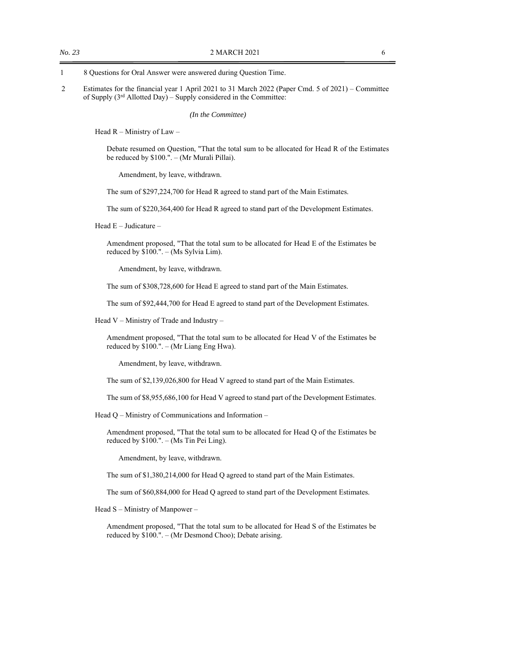- 1 8 Questions for Oral Answer were answered during Question Time.
- 2 Estimates for the financial year 1 April 2021 to 31 March 2022 (Paper Cmd. 5 of 2021) Committee of Supply  $(3<sup>rd</sup>$  Allotted Day) – Supply considered in the Committee:

*(In the Committee)* 

Head R – Ministry of Law –

Debate resumed on Question, "That the total sum to be allocated for Head R of the Estimates be reduced by \$100.". – (Mr Murali Pillai).

Amendment, by leave, withdrawn.

The sum of \$297,224,700 for Head R agreed to stand part of the Main Estimates.

The sum of \$220,364,400 for Head R agreed to stand part of the Development Estimates.

Head E – Judicature –

Amendment proposed, "That the total sum to be allocated for Head E of the Estimates be reduced by \$100.". – (Ms Sylvia Lim).

Amendment, by leave, withdrawn.

The sum of \$308,728,600 for Head E agreed to stand part of the Main Estimates.

The sum of \$92,444,700 for Head E agreed to stand part of the Development Estimates.

Head V – Ministry of Trade and Industry –

Amendment proposed, "That the total sum to be allocated for Head V of the Estimates be reduced by \$100.". – (Mr Liang Eng Hwa).

Amendment, by leave, withdrawn.

The sum of \$2,139,026,800 for Head V agreed to stand part of the Main Estimates.

The sum of \$8,955,686,100 for Head V agreed to stand part of the Development Estimates.

Head Q – Ministry of Communications and Information –

Amendment proposed, "That the total sum to be allocated for Head Q of the Estimates be reduced by \$100.". – (Ms Tin Pei Ling).

Amendment, by leave, withdrawn.

The sum of \$1,380,214,000 for Head Q agreed to stand part of the Main Estimates.

The sum of \$60,884,000 for Head Q agreed to stand part of the Development Estimates.

Head S – Ministry of Manpower –

Amendment proposed, "That the total sum to be allocated for Head S of the Estimates be reduced by \$100.". – (Mr Desmond Choo); Debate arising.